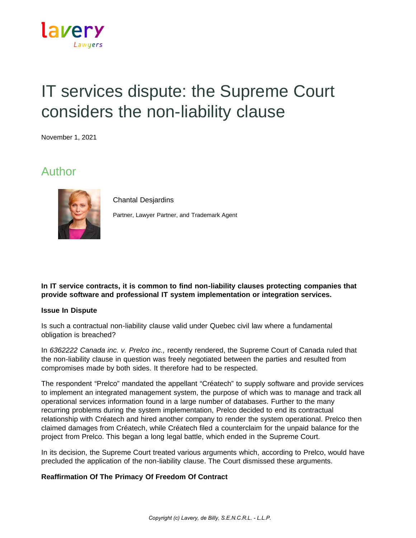

# IT services dispute: the Supreme Court considers the non-liability clause

November 1, 2021

## Author



Chantal Desjardins

Partner, Lawyer Partner, and Trademark Agent

#### **In IT service contracts, it is common to find non-liability clauses protecting companies that provide software and professional IT system implementation or integration services.**

#### **Issue In Dispute**

Is such a contractual non-liability clause valid under Quebec civil law where a fundamental obligation is breached?

In *6362222 Canada inc. v. Prelco inc.,* recently rendered, the Supreme Court of Canada ruled that the non-liability clause in question was freely negotiated between the parties and resulted from compromises made by both sides. It therefore had to be respected.

The respondent "Prelco" mandated the appellant "Créatech" to supply software and provide services to implement an integrated management system, the purpose of which was to manage and track all operational services information found in a large number of databases. Further to the many recurring problems during the system implementation, Prelco decided to end its contractual relationship with Créatech and hired another company to render the system operational. Prelco then claimed damages from Créatech, while Créatech filed a counterclaim for the unpaid balance for the project from Prelco. This began a long legal battle, which ended in the Supreme Court.

In its decision, the Supreme Court treated various arguments which, according to Prelco, would have precluded the application of the non-liability clause. The Court dismissed these arguments.

### **Reaffirmation Of The Primacy Of Freedom Of Contract**